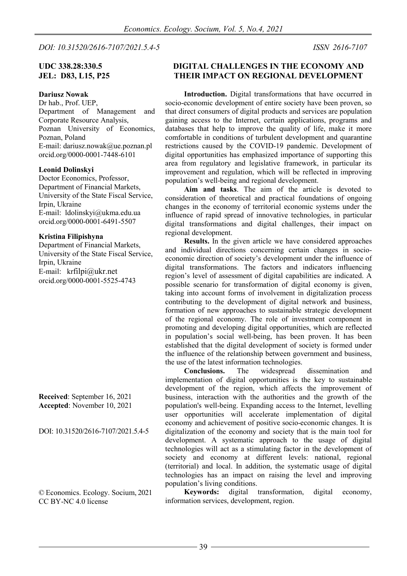*DOI: 10.31520/2616-7107/2021.5.4-5 ISSN [2616-7107](https://portal.issn.org/resource/issn/2616-7107)*

## **UDC 338.28:330.5 JEL: D83, L15, P25**

**Dariusz Nowak** 

Dr hab., Prof. UEP, Department of Management and Corporate Resource Analysis, Poznan University of Economics, Poznan, Poland E-mail: dariusz.nowak@ue.poznan.pl orcid.org/0000-0001-7448-6101

#### **Leonid Dolinskyi**

Doctor Economics, Professor, Department of Financial Markets, University of the State Fiscal Service, Irpin, Ukraine E-mail: ldolinskyi@ukma.edu.ua orcid.org/0000-0001-6491-5507

#### **Kristina Filipishyna**

Department of Financial Markets, University of the State Fiscal Service, Irpin, Ukraine E-mail: krfilpi@ukr.net orcid.org/0000-0001-5525-4743

**Received**: September 16, 2021 **Accepted**: November 10, 2021

DOI: 10.31520/2616-7107/2021.5.4-5

© Economics. Ecology. Socium, 2021 [CC BY-NC](http://creativecommons.org/licenses/by-nc-nd/4.0/) 4.0 license

## **DIGITAL CHALLENGES IN THE ECONOMY AND THEIR IMPACT ON REGIONAL DEVELOPMENT**

**Introduction.** Digital transformations that have occurred in socio-economic development of entire society have been proven, so that direct consumers of digital products and services are population gaining access to the Internet, certain applications, programs and databases that help to improve the quality of life, make it more comfortable in conditions of turbulent development and quarantine restrictions caused by the COVID-19 pandemic. Development of digital opportunities has emphasized importance of supporting this area from regulatory and legislative framework, in particular its improvement and regulation, which will be reflected in improving population's well-being and regional development.

**Aim and tasks**. The aim of the article is devoted to consideration of theoretical and practical foundations of ongoing changes in the economy of territorial economic systems under the influence of rapid spread of innovative technologies, in particular digital transformations and digital challenges, their impact on regional development.

**Results.** In the given article we have considered approaches and individual directions concerning certain changes in socioeconomic direction of society's development under the influence of digital transformations. The factors and indicators influencing region's level of assessment of digital capabilities are indicated. A possible scenario for transformation of digital economy is given, taking into account forms of involvement in digitalization process contributing to the development of digital network and business, formation of new approaches to sustainable strategic development of the regional economy. The role of investment component in promoting and developing digital opportunities, which are reflected in population's social well-being, has been proven. It has been established that the digital development of society is formed under the influence of the relationship between government and business, the use of the latest information technologies.<br>Conclusions. The widespread

dissemination and implementation of digital opportunities is the key to sustainable development of the region, which affects the improvement of business, interaction with the authorities and the growth of the population's well-being. Expanding access to the Internet, levelling user opportunities will accelerate implementation of digital economy and achievement of positive socio-economic changes. It is digitalization of the economy and society that is the main tool for development. A systematic approach to the usage of digital technologies will act as a stimulating factor in the development of society and economy at different levels: national, regional (territorial) and local. In addition, the systematic usage of digital technologies has an impact on raising the level and improving population's living conditions.

**Keywords:** digital transformation, digital economy, information services, development, region.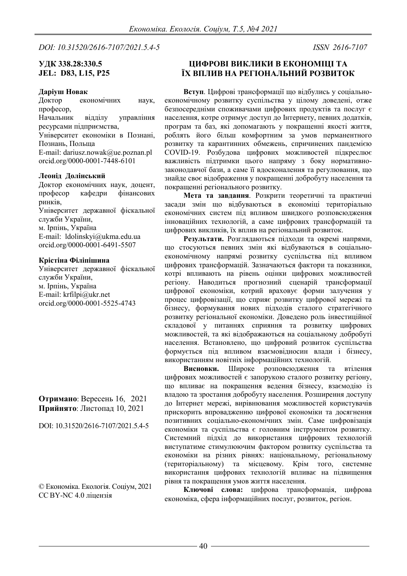*DOI: 10.31520/2616-7107/2021.5.4-5 ISSN [2616-7107](https://portal.issn.org/resource/issn/2616-7107)*

## **УДК 338.28:330.5 JEL: D83, L15, P25**

#### **Даріуш Новак**

Доктор економічних наук, професор, Начальник відділу управління ресурсами підприємства, Університет економіки в Познані, Познань, Польща E-mail: dariusz.nowak@ue.poznan.pl

orcid.org/0000-0001-7448-6101

### **Леонід Долінський**

Доктор економічних наук, доцент, професор кафедри фінансових ринків, Університет державної фіскальної служби України, м. Ірпінь, Україна E-mail: ldolinskyi@ukma.edu.ua orcid.org/0000-0001-6491-5507

### **Крістіна Філіпішина**

Університет державної фіскальної служби України, м. Ірпінь, Україна E-mail: krfilpi@ukr.net orcid.org/0000-0001-5525-4743

**Отримано**: Вересень 16, 2021 **Прийнято**: Листопад 10, 2021

DOI: 10.31520/2616-7107/2021.5.4-5

© Економіка. Екологія. Соціум, 2021 CC BY-NC 4.0 ліцензія

# **ЦИФРОВІ ВИКЛИКИ В ЕКОНОМІЦІ ТА ЇХ ВПЛИВ НА РЕГІОНАЛЬНИЙ РОЗВИТОК**

**Вступ**. Цифрові трансформації що відбулись у соціальноекономічному розвитку суспільства у цілому доведені, отже безпосередніми споживачами цифрових продуктів та послуг є населення, котре отримує доступ до Інтернету, певних додатків, програм та баз, які допомагають у покращенні якості життя, роблять його більш комфортним за умов перманентного розвитку та карантинних обмежень, спричинених пандемією COVID-19. Розбудова цифрових можливостей підкреслює важливість підтримки цього напряму з боку нормативнозаконодавчої бази, а саме її вдосконалення та регулювання, що знайде своє відображення у покращенні добробуту населення та покращенні регіонального розвитку.

**Мета та завдання**. Розкрити теоретичні та практичні засади змін що відбуваються в економіці територіально економічних систем під впливом швидкого розповсюдження інноваційних технологій, а саме цифрових трансформацій та цифрових викликів, їх вплив на регіональний розвиток.

**Результати.** Розглядаються підходи та окремі напрями, що стосуються певних змін які відбуваються в соціальноекономічному напрямі розвитку суспільства під впливом цифрових трансформацій. Зазначаються фактори та показники, котрі впливають на рівень оцінки цифрових можливостей регіону. Наводиться прогнозний сценарій трансформації цифрової економіки, котрий враховує форми залучення у процес цифровізації, що сприяє розвитку цифрової мережі та бізнесу, формування нових підходів сталого стратегічного розвитку регіональної економіки. Доведено роль інвестиційної складової у питаннях сприяння та розвитку цифрових можливостей, та які відображаються на соціальному добробуті населення. Встановлено, що цифровий розвиток суспільства формується під впливом взаємовідносин влади і бізнесу, використанням новітніх інформаційних технологій.

**Висновки.** Широке розповсюдження та втілення цифрових можливостей є запорукою сталого розвитку регіону, що впливає на покращення ведення бізнесу, взаємодію із владою та зростання добробуту населення. Розширення доступу до Інтернет мережі, вирівнювання можливостей користувачів прискорить впровадженню цифрової економіки та досягнення позитивних соціально-економічних змін. Саме цифровізація економіки та суспільства є головним інструментом розвитку. Системний підхід до використання цифрових технологій виступатиме стимулюючим фактором розвитку суспільства та економіки на різних рівнях: національному, регіональному (територіальному) та місцевому. Крім того, системне використання цифрових технологій впливає на підвищення рівня та покращення умов життя населення.

**Ключові слова:** цифрова трансформація, цифрова економіка, сфера інформаційних послуг, розвиток, регіон.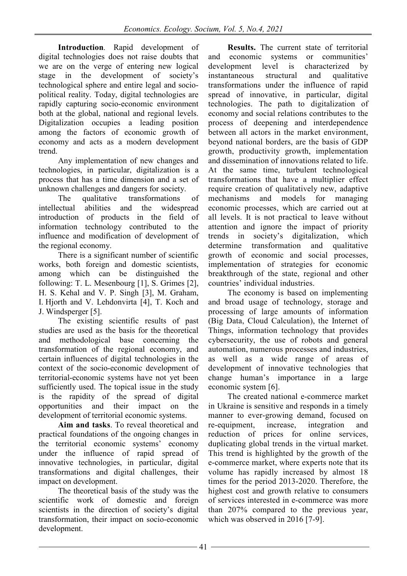**Introduction**. Rapid development of digital technologies does not raise doubts that we are on the verge of entering new logical stage in the development of society's technological sphere and entire legal and sociopolitical reality. Today, digital technologies are rapidly capturing socio-economic environment both at the global, national and regional levels. Digitalization occupies a leading position among the factors of economic growth of economy and acts as a modern development trend.

Any implementation of new changes and technologies, in particular, digitalization is a process that has a time dimension and a set of

unknown challenges and dangers for society.<br>The qualitative transformations The qualitative transformations of<br>intellectual abilities and the widespread abilities and the widespread introduction of products in the field of information technology contributed to the influence and modification of development of the regional economy.

There is a significant number of scientific works, both foreign and domestic scientists, among which can be distinguished the following: T. L. Mesenbourg [1], S. Grimes [2], H. S. Kehal and V. P. Singh [3], M. Graham, I. Hjorth and V. Lehdonvirta [4], T. Koch and J. Windsperger [5].

The existing scientific results of past studies are used as the basis for the theoretical and methodological base concerning the transformation of the regional economy, and certain influences of digital technologies in the context of the socio-economic development of territorial-economic systems have not yet been sufficiently used. The topical issue in the study is the rapidity of the spread of digital opportunities and their impact on the development of territorial economic systems.

**Aim and tasks**. To reveal theoretical and practical foundations of the ongoing changes in the territorial economic systems' economy under the influence of rapid spread of innovative technologies, in particular, digital transformations and digital challenges, their impact on development.

The theoretical basis of the study was the scientific work of domestic and foreign scientists in the direction of society's digital transformation, their impact on socio-economic development.

**Results.** The current state of territorial economic systems or communities' and economic systems development level is characterized by instantaneous structural and qualitative transformations under the influence of rapid spread of innovative, in particular, digital technologies. The path to digitalization of economy and social relations contributes to the process of deepening and interdependence between all actors in the market environment, beyond national borders, are the basis of GDP growth, productivity growth, implementation and dissemination of innovations related to life. At the same time, turbulent technological transformations that have a multiplier effect require creation of qualitatively new, adaptive<br>mechanisms and models for managing and models for managing economic processes, which are carried out at all levels. It is not practical to leave without attention and ignore the impact of priority trends in society's digitalization, which determine transformation and qualitative growth of economic and social processes, implementation of strategies for economic breakthrough of the state, regional and other countries' individual industries.

The economy is based on implementing and broad usage of technology, storage and processing of large amounts of information (Big Data, Cloud Calculation), the Internet of Things, information technology that provides cybersecurity, the use of robots and general automation, numerous processes and industries, as well as a wide range of areas of development of innovative technologies that change human's importance in a large economic system [6].

The created national e-commerce market in Ukraine is sensitive and responds in a timely manner to ever-growing demand, focused on re-equipment, increase, integration and reduction of prices for online services, duplicating global trends in the virtual market. This trend is highlighted by the growth of the e-commerce market, where experts note that its volume has rapidly increased by almost 18 times for the period 2013-2020. Therefore, the highest cost and growth relative to consumers of services interested in e-commerce was more than 207% compared to the previous year, which was observed in 2016 [7-9].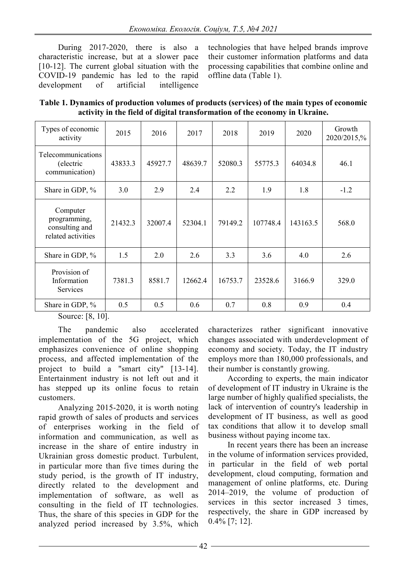During 2017-2020, there is also a characteristic increase, but at a slower pace [10-12]. The current global situation with the COVID-19 pandemic has led to the rapid development of artificial intelligence

technologies that have helped brands improve their customer information platforms and data processing capabilities that combine online and offline data (Table 1).

**Table 1. Dynamics of production volumes of products (services) of the main types of economic activity in the field of digital transformation of the economy in Ukraine.**

| Types of economic<br>activity                                    | 2015    | 2016    | 2017    | 2018    | 2019     | 2020     | Growth<br>2020/2015,% |  |
|------------------------------------------------------------------|---------|---------|---------|---------|----------|----------|-----------------------|--|
| Telecommunications<br>(electric<br>communication)                | 43833.3 | 45927.7 | 48639.7 | 52080.3 | 55775.3  | 64034.8  | 46.1                  |  |
| Share in GDP, %                                                  | 3.0     | 2.9     | 2.4     | 2.2     | 1.9      | 1.8      | $-1.2$                |  |
| Computer<br>programming,<br>consulting and<br>related activities | 21432.3 | 32007.4 | 52304.1 | 79149.2 | 107748.4 | 143163.5 | 568.0                 |  |
| Share in GDP, %                                                  | 1.5     | 2.0     | 2.6     | 3.3     | 3.6      | 4.0      | 2.6                   |  |
| Provision of<br>Information<br>Services                          | 7381.3  | 8581.7  | 12662.4 | 16753.7 | 23528.6  | 3166.9   | 329.0                 |  |
| Share in GDP, %                                                  | 0.5     | 0.5     | 0.6     | 0.7     | 0.8      | 0.9      | 0.4                   |  |

Source: [8, 10].

The pandemic also accelerated implementation of the 5G project, which emphasizes convenience of online shopping process, and affected implementation of the project to build a "smart city" [13-14]. Entertainment industry is not left out and it has stepped up its online focus to retain customers.

Analyzing 2015-2020, it is worth noting rapid growth of sales of products and services of enterprises working in the field of information and communication, as well as increase in the share of entire industry in Ukrainian gross domestic product. Turbulent, in particular more than five times during the study period, is the growth of IT industry, directly related to the development and implementation of software, as well as consulting in the field of IT technologies. Thus, the share of this species in GDP for the analyzed period increased by 3.5%, which

characterizes rather significant innovative changes associated with underdevelopment of economy and society. Today, the IT industry employs more than 180,000 professionals, and their number is constantly growing.

According to experts, the main indicator of development of IT industry in Ukraine is the large number of highly qualified specialists, the lack of intervention of country's leadership in development of IT business, as well as good tax conditions that allow it to develop small business without paying income tax.

In recent years there has been an increase in the volume of information services provided, in particular in the field of web portal development, cloud computing, formation and management of online platforms, etc. During 2014–2019, the volume of production of services in this sector increased 3 times, respectively, the share in GDP increased by 0.4% [7; 12].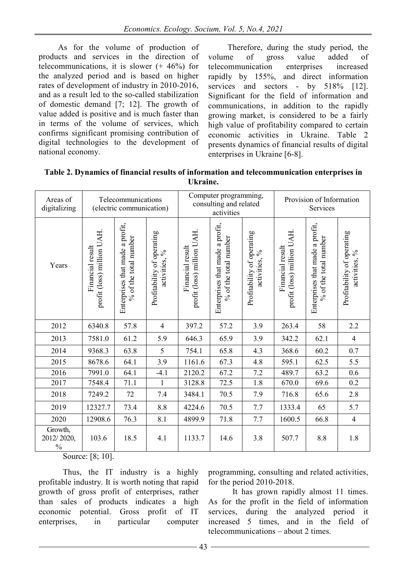As for the volume of production of products and services in the direction of telecommunications, it is slower  $(+ 46%)$  for the analyzed period and is based on higher rates of development of industry in 2010-2016, and as a result led to the so-called stabilization of domestic demand [7; 12]. The growth of value added is positive and is much faster than in terms of the volume of services, which confirms significant promising contribution of digital technologies to the development of national economy.

Therefore, during the study period, the volume of gross value added of telecommunication enterprises increased rapidly by 155%, and direct information services and sectors - by 518% [12]. Significant for the field of information and communications, in addition to the rapidly growing market, is considered to be a fairly high value of profitability compared to certain economic activities in Ukraine. Table 2 presents dynamics of financial results of digital enterprises in Ukraine [6-8].

| Table 2. Dynamics of financial results of information and telecommunication enterprises in |  |
|--------------------------------------------------------------------------------------------|--|
| Ukraine.                                                                                   |  |

| Areas of<br>digitalizing               | Telecommunications<br>(electric communication) |                                                          |                                             | Computer programming,<br>consulting and related<br>activities |                                                          |                                             | Provision of Information<br>Services           |                                                          |                                             |
|----------------------------------------|------------------------------------------------|----------------------------------------------------------|---------------------------------------------|---------------------------------------------------------------|----------------------------------------------------------|---------------------------------------------|------------------------------------------------|----------------------------------------------------------|---------------------------------------------|
| Years                                  | profit (loss) million UAH.<br>Financial result | Enterprises that made a profit,<br>% of the total number | Profitability of operating<br>activities, % | profit (loss) million UAH.<br>Financial result                | Enterprises that made a profit,<br>% of the total number | Profitability of operating<br>activities, % | profit (loss) million UAH.<br>Financial result | Enterprises that made a profit,<br>% of the total number | Profitability of operating<br>activities, % |
| 2012                                   | 6340.8                                         | 57.8                                                     | $\overline{4}$                              | 397.2                                                         | 57.2                                                     | 3.9                                         | 263.4                                          | 58                                                       | 2.2                                         |
| 2013                                   | 7581.0                                         | 61.2                                                     | 5.9                                         | 646.3                                                         | 65.9                                                     | 3.9                                         | 342.2                                          | 62.1                                                     | $\overline{4}$                              |
| 2014                                   | 9368.3                                         | 63.8                                                     | 5                                           | 754.1                                                         | 65.8                                                     | 4.3                                         | 368.6                                          | 60.2                                                     | 0.7                                         |
| 2015                                   | 8678.6                                         | 64.1                                                     | 3.9                                         | 1161.6                                                        | 67.3                                                     | 4.8                                         | 595.1                                          | 62.5                                                     | 5.5                                         |
| 2016                                   | 7991.0                                         | 64.1                                                     | $-4.1$                                      | 2120.2                                                        | 67.2                                                     | 7.2                                         | 489.7                                          | 63.2                                                     | 0.6                                         |
| 2017                                   | 7548.4                                         | 71.1                                                     | $\mathbf{1}$                                | 3128.8                                                        | 72.5                                                     | 1.8                                         | 670.0                                          | 69.6                                                     | 0.2                                         |
| 2018                                   | 7249.2                                         | 72                                                       | 7.4                                         | 3484.1                                                        | 70.5                                                     | 7.9                                         | 716.8                                          | 65.6                                                     | 2.8                                         |
| 2019                                   | 12327.7                                        | 73.4                                                     | 8.8                                         | 4224.6                                                        | 70.5                                                     | 7.7                                         | 1333.4                                         | 65                                                       | 5.7                                         |
| 2020                                   | 12908.6                                        | 76.3                                                     | 8.1                                         | 4899.9                                                        | 71.8                                                     | 7.7                                         | 1600.5                                         | 66.8                                                     | $\overline{4}$                              |
| Growth,<br>2012/2020,<br>$\frac{0}{0}$ | 103.6                                          | 18.5                                                     | 4.1                                         | 1133.7                                                        | 14.6                                                     | 3.8                                         | 507.7                                          | 8.8                                                      | 1.8                                         |

Source: [8; 10].

Thus, the IT industry is a highly profitable industry. It is worth noting that rapid growth of gross profit of enterprises, rather than sales of products indicates a high economic potential. Gross profit of IT enterprises, in particular computer

programming, consulting and related activities, for the period 2010-2018.

It has grown rapidly almost 11 times. As for the profit in the field of information services, during the analyzed period it increased 5 times, and in the field of telecommunications – about 2 times.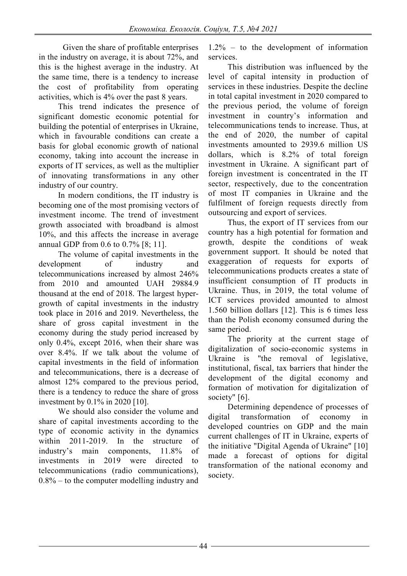Given the share of profitable enterprises in the industry on average, it is about 72%, and this is the highest average in the industry. At the same time, there is a tendency to increase the cost of profitability from operating activities, which is 4% over the past 8 years.

This trend indicates the presence of significant domestic economic potential for building the potential of enterprises in Ukraine, which in favourable conditions can create a basis for global economic growth of national economy, taking into account the increase in exports of IT services, as well as the multiplier of innovating transformations in any other industry of our country.

In modern conditions, the IT industry is becoming one of the most promising vectors of investment income. The trend of investment growth associated with broadband is almost 10%, and this affects the increase in average annual GDP from 0.6 to 0.7% [8; 11].

The volume of capital investments in the development of industry and telecommunications increased by almost 246% from 2010 and amounted UAH 29884.9 thousand at the end of 2018. The largest hypergrowth of capital investments in the industry took place in 2016 and 2019. Nevertheless, the share of gross capital investment in the economy during the study period increased by only 0.4%, except 2016, when their share was over 8.4%. If we talk about the volume of capital investments in the field of information and telecommunications, there is a decrease of almost 12% compared to the previous period, there is a tendency to reduce the share of gross investment by 0.1% in 2020 [10].

We should also consider the volume and share of capital investments according to the type of economic activity in the dynamics within 2011-2019. In the structure of industry's main components, 11.8% of investments in 2019 were directed to telecommunications (radio communications), 0.8% – to the computer modelling industry and

1.2% – to the development of information services.

This distribution was influenced by the level of capital intensity in production of services in these industries. Despite the decline in total capital investment in 2020 compared to the previous period, the volume of foreign investment in country's information and telecommunications tends to increase. Thus, at the end of 2020, the number of capital investments amounted to 2939.6 million US dollars, which is 8.2% of total foreign investment in Ukraine. A significant part of foreign investment is concentrated in the IT sector, respectively, due to the concentration of most IT companies in Ukraine and the fulfilment of foreign requests directly from outsourcing and export of services.

Thus, the export of IT services from our country has a high potential for formation and growth, despite the conditions of weak government support. It should be noted that exaggeration of requests for exports of telecommunications products creates a state of insufficient consumption of IT products in Ukraine. Thus, in 2019, the total volume of ICT services provided amounted to almost 1.560 billion dollars [12]. This is 6 times less than the Polish economy consumed during the same period.

The priority at the current stage of digitalization of socio-economic systems in Ukraine is "the removal of legislative, institutional, fiscal, tax barriers that hinder the development of the digital economy and formation of motivation for digitalization of society" [6].

Determining dependence of processes of digital transformation of economy in developed countries on GDP and the main current challenges of IT in Ukraine, experts of the initiative "Digital Agenda of Ukraine" [10] made a forecast of options for digital transformation of the national economy and society.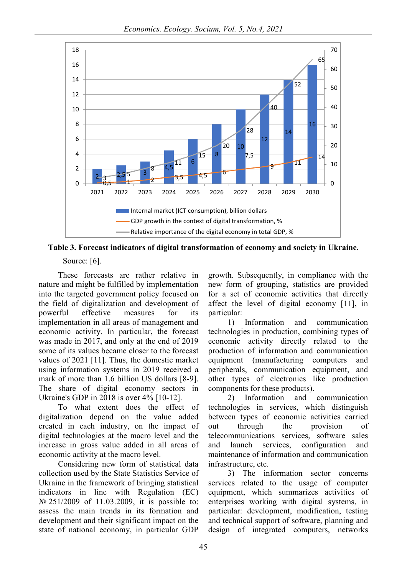

**Table 3. Forecast indicators of digital transformation of economy and society in Ukraine.**

Source: [6].

These forecasts are rather relative in nature and might be fulfilled by implementation into the targeted government policy focused on the field of digitalization and development of<br>powerful effective measures for its measures for its implementation in all areas of management and economic activity. In particular, the forecast was made in 2017, and only at the end of 2019 some of its values became closer to the forecast values of 2021 [11]. Thus, the domestic market using information systems in 2019 received a mark of more than 1.6 billion US dollars [8-9]. The share of digital economy sectors in Ukraine's GDP in 2018 is over 4% [10-12].

To what extent does the effect of digitalization depend on the value added created in each industry, on the impact of digital technologies at the macro level and the increase in gross value added in all areas of economic activity at the macro level.

Considering new form of statistical data collection used by the State Statistics Service of Ukraine in the framework of bringing statistical indicators in line with Regulation (EC) № 251/2009 of 11.03.2009, it is possible to: assess the main trends in its formation and development and their significant impact on the state of national economy, in particular GDP

growth. Subsequently, in compliance with the new form of grouping, statistics are provided for a set of economic activities that directly affect the level of digital economy [11], in particular:

1) Information and communication technologies in production, combining types of economic activity directly related to the production of information and communication equipment (manufacturing computers and peripherals, communication equipment, and other types of electronics like production components for these products).

2) Information and communication technologies in services, which distinguish between types of economic activities carried out through the provision of telecommunications services, software sales and launch services, configuration and maintenance of information and communication infrastructure, etc.

3) The information sector concerns services related to the usage of computer equipment, which summarizes activities of enterprises working with digital systems, in particular: development, modification, testing and technical support of software, planning and design of integrated computers, networks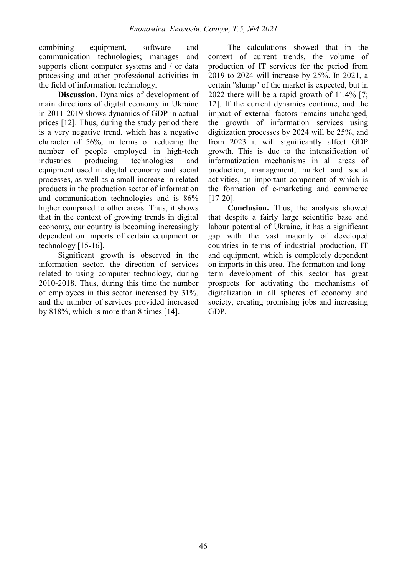combining equipment, software and communication technologies; manages and supports client computer systems and / or data processing and other professional activities in the field of information technology.

**Discussion.** Dynamics of development of main directions of digital economy in Ukraine in 2011-2019 shows dynamics of GDP in actual prices [12]. Thus, during the study period there is a very negative trend, which has a negative character of 56%, in terms of reducing the number of people employed in high-tech industries producing technologies and equipment used in digital economy and social processes, as well as a small increase in related products in the production sector of information and communication technologies and is 86% higher compared to other areas. Thus, it shows that in the context of growing trends in digital economy, our country is becoming increasingly dependent on imports of certain equipment or technology [15-16].

Significant growth is observed in the information sector, the direction of services related to using computer technology, during 2010-2018. Thus, during this time the number of employees in this sector increased by 31%, and the number of services provided increased by 818%, which is more than 8 times [14].

The calculations showed that in the context of current trends, the volume of production of IT services for the period from 2019 to 2024 will increase by 25%. In 2021, a certain "slump" of the market is expected, but in 2022 there will be a rapid growth of 11.4% [7; 12]. If the current dynamics continue, and the impact of external factors remains unchanged, the growth of information services using digitization processes by 2024 will be 25%, and from 2023 it will significantly affect GDP growth. This is due to the intensification of informatization mechanisms in all areas of production, management, market and social activities, an important component of which is the formation of e-marketing and commerce [17-20].

**Conclusion.** Thus, the analysis showed that despite a fairly large scientific base and labour potential of Ukraine, it has a significant gap with the vast majority of developed countries in terms of industrial production, IT and equipment, which is completely dependent on imports in this area. The formation and longterm development of this sector has great prospects for activating the mechanisms of digitalization in all spheres of economy and society, creating promising jobs and increasing GDP.